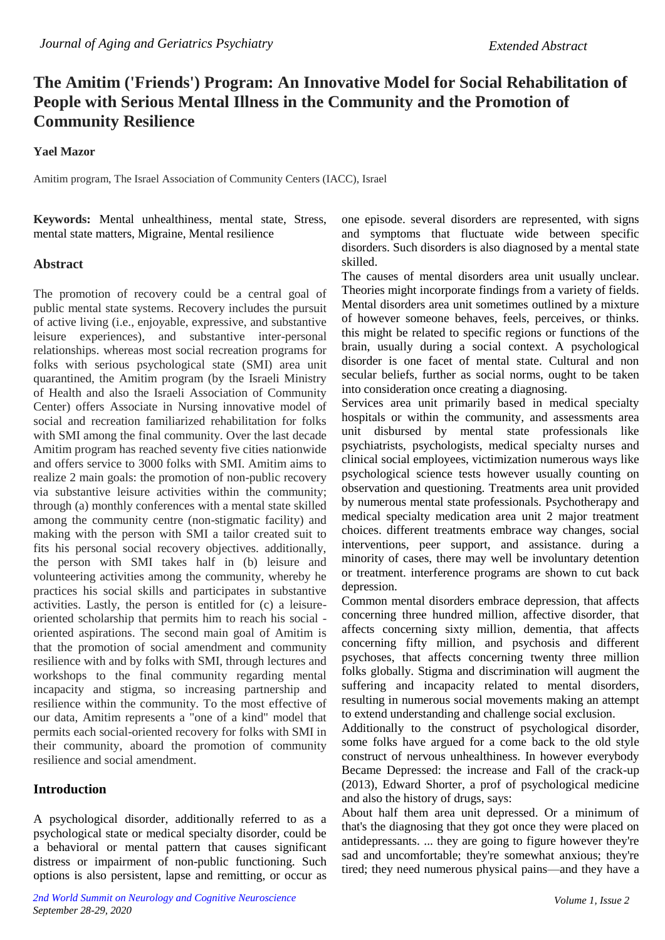## **The Amitim ('Friends') Program: An Innovative Model for Social Rehabilitation of People with Serious Mental Illness in the Community and the Promotion of Community Resilience**

**Yael Mazor**

Amitim program, The Israel Association of Community Centers (IACC), Israel

**Keywords:** Mental unhealthiness, mental state, Stress, mental state matters, Migraine, Mental resilience

## **Abstract**

The promotion of recovery could be a central goal of public mental state systems. Recovery includes the pursuit of active living (i.e., enjoyable, expressive, and substantive leisure experiences), and substantive inter-personal relationships. whereas most social recreation programs for folks with serious psychological state (SMI) area unit quarantined, the Amitim program (by the Israeli Ministry of Health and also the Israeli Association of Community Center) offers Associate in Nursing innovative model of social and recreation familiarized rehabilitation for folks with SMI among the final community. Over the last decade Amitim program has reached seventy five cities nationwide and offers service to 3000 folks with SMI. Amitim aims to realize 2 main goals: the promotion of non-public recovery via substantive leisure activities within the community; through (a) monthly conferences with a mental state skilled among the community centre (non-stigmatic facility) and making with the person with SMI a tailor created suit to fits his personal social recovery objectives. additionally, the person with SMI takes half in (b) leisure and volunteering activities among the community, whereby he practices his social skills and participates in substantive activities. Lastly, the person is entitled for (c) a leisureoriented scholarship that permits him to reach his social oriented aspirations. The second main goal of Amitim is that the promotion of social amendment and community resilience with and by folks with SMI, through lectures and workshops to the final community regarding mental incapacity and stigma, so increasing partnership and resilience within the community. To the most effective of our data, Amitim represents a "one of a kind" model that permits each social-oriented recovery for folks with SMI in their community, aboard the promotion of community resilience and social amendment.

## **Introduction**

A psychological disorder, additionally referred to as a psychological state or medical specialty disorder, could be a behavioral or mental pattern that causes significant distress or impairment of non-public functioning. Such options is also persistent, lapse and remitting, or occur as one episode. several disorders are represented, with signs and symptoms that fluctuate wide between specific disorders. Such disorders is also diagnosed by a mental state skilled.

The causes of mental disorders area unit usually unclear. Theories might incorporate findings from a variety of fields. Mental disorders area unit sometimes outlined by a mixture of however someone behaves, feels, perceives, or thinks. this might be related to specific regions or functions of the brain, usually during a social context. A psychological disorder is one facet of mental state. Cultural and non secular beliefs, further as social norms, ought to be taken into consideration once creating a diagnosing.

Services area unit primarily based in medical specialty hospitals or within the community, and assessments area unit disbursed by mental state professionals like psychiatrists, psychologists, medical specialty nurses and clinical social employees, victimization numerous ways like psychological science tests however usually counting on observation and questioning. Treatments area unit provided by numerous mental state professionals. Psychotherapy and medical specialty medication area unit 2 major treatment choices. different treatments embrace way changes, social interventions, peer support, and assistance. during a minority of cases, there may well be involuntary detention or treatment. interference programs are shown to cut back depression.

Common mental disorders embrace depression, that affects concerning three hundred million, affective disorder, that affects concerning sixty million, dementia, that affects concerning fifty million, and psychosis and different psychoses, that affects concerning twenty three million folks globally. Stigma and discrimination will augment the suffering and incapacity related to mental disorders, resulting in numerous social movements making an attempt to extend understanding and challenge social exclusion.

Additionally to the construct of psychological disorder, some folks have argued for a come back to the old style construct of nervous unhealthiness. In however everybody Became Depressed: the increase and Fall of the crack-up (2013), Edward Shorter, a prof of psychological medicine and also the history of drugs, says:

About half them area unit depressed. Or a minimum of that's the diagnosing that they got once they were placed on antidepressants. ... they are going to figure however they're sad and uncomfortable; they're somewhat anxious; they're tired; they need numerous physical pains—and they have a